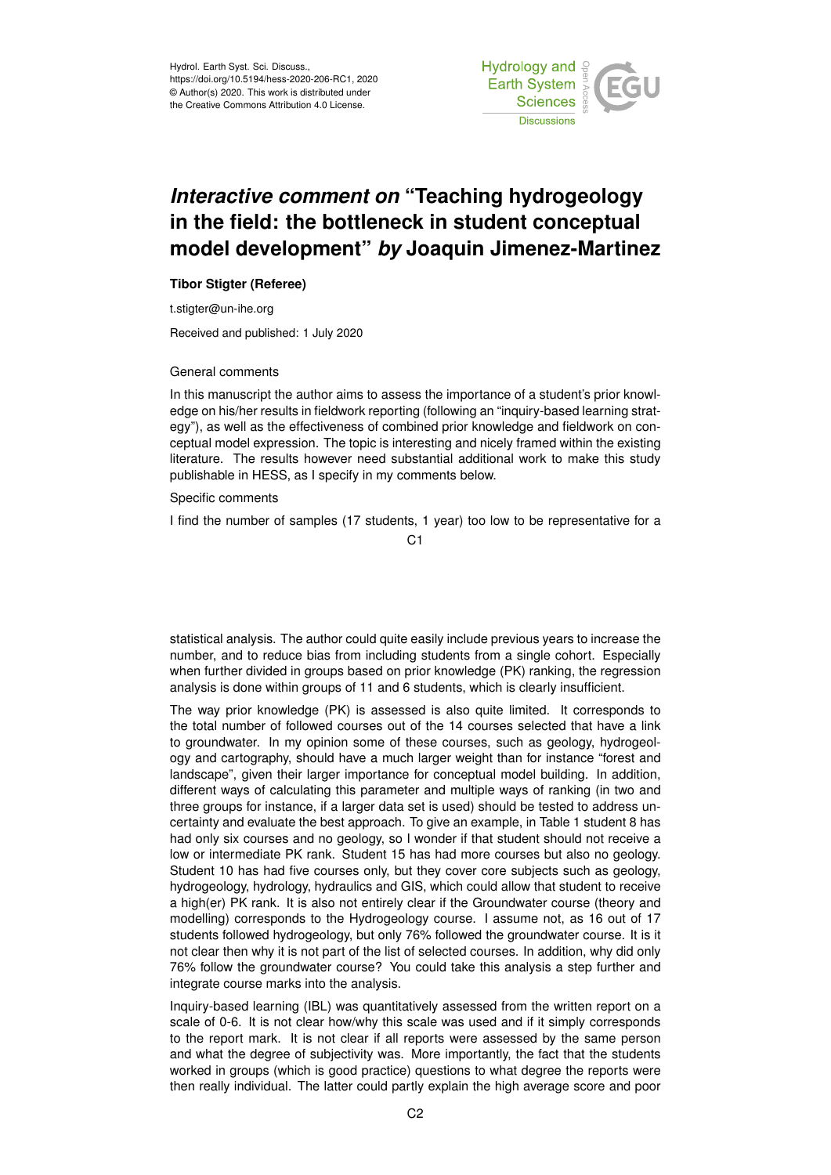

## *Interactive comment on* **"Teaching hydrogeology in the field: the bottleneck in student conceptual model development"** *by* **Joaquin Jimenez-Martinez**

## **Tibor Stigter (Referee)**

t.stigter@un-ihe.org

Received and published: 1 July 2020

## General comments

In this manuscript the author aims to assess the importance of a student's prior knowledge on his/her results in fieldwork reporting (following an "inquiry-based learning strategy"), as well as the effectiveness of combined prior knowledge and fieldwork on conceptual model expression. The topic is interesting and nicely framed within the existing literature. The results however need substantial additional work to make this study publishable in HESS, as I specify in my comments below.

## Specific comments

I find the number of samples (17 students, 1 year) too low to be representative for a

 $C<sub>1</sub>$ 

statistical analysis. The author could quite easily include previous years to increase the number, and to reduce bias from including students from a single cohort. Especially when further divided in groups based on prior knowledge (PK) ranking, the regression analysis is done within groups of 11 and 6 students, which is clearly insufficient.

The way prior knowledge (PK) is assessed is also quite limited. It corresponds to the total number of followed courses out of the 14 courses selected that have a link to groundwater. In my opinion some of these courses, such as geology, hydrogeology and cartography, should have a much larger weight than for instance "forest and landscape", given their larger importance for conceptual model building. In addition, different ways of calculating this parameter and multiple ways of ranking (in two and three groups for instance, if a larger data set is used) should be tested to address uncertainty and evaluate the best approach. To give an example, in Table 1 student 8 has had only six courses and no geology, so I wonder if that student should not receive a low or intermediate PK rank. Student 15 has had more courses but also no geology. Student 10 has had five courses only, but they cover core subjects such as geology, hydrogeology, hydrology, hydraulics and GIS, which could allow that student to receive a high(er) PK rank. It is also not entirely clear if the Groundwater course (theory and modelling) corresponds to the Hydrogeology course. I assume not, as 16 out of 17 students followed hydrogeology, but only 76% followed the groundwater course. It is it not clear then why it is not part of the list of selected courses. In addition, why did only 76% follow the groundwater course? You could take this analysis a step further and integrate course marks into the analysis.

Inquiry-based learning (IBL) was quantitatively assessed from the written report on a scale of 0-6. It is not clear how/why this scale was used and if it simply corresponds to the report mark. It is not clear if all reports were assessed by the same person and what the degree of subjectivity was. More importantly, the fact that the students worked in groups (which is good practice) questions to what degree the reports were then really individual. The latter could partly explain the high average score and poor